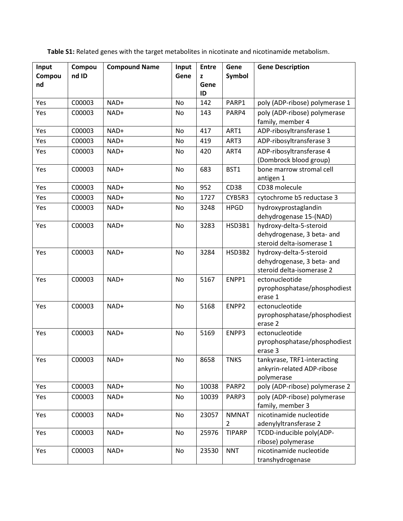| Table S1: Related genes with the target metabolites in nicotinate and nicotinamide metabolism. |  |  |  |
|------------------------------------------------------------------------------------------------|--|--|--|
|------------------------------------------------------------------------------------------------|--|--|--|

| Input<br>Compou<br>nd | Compou<br>nd ID | <b>Compound Name</b> | Input<br>Gene | <b>Entre</b><br>z<br>Gene<br>ID | Gene<br>Symbol                 | <b>Gene Description</b>                                                            |
|-----------------------|-----------------|----------------------|---------------|---------------------------------|--------------------------------|------------------------------------------------------------------------------------|
| Yes                   | C00003          | NAD+                 | <b>No</b>     | 142                             | PARP1                          | poly (ADP-ribose) polymerase 1                                                     |
| Yes                   | C00003          | NAD+                 | No            | 143                             | PARP4                          | poly (ADP-ribose) polymerase<br>family, member 4                                   |
| Yes                   | C00003          | NAD+                 | No            | 417                             | ART1                           | ADP-ribosyltransferase 1                                                           |
| Yes                   | C00003          | NAD+                 | No            | 419                             | ART3                           | ADP-ribosyltransferase 3                                                           |
| Yes                   | C00003          | NAD+                 | No            | 420                             | ART4                           | ADP-ribosyltransferase 4<br>(Dombrock blood group)                                 |
| Yes                   | C00003          | NAD+                 | No            | 683                             | BST1                           | bone marrow stromal cell<br>antigen 1                                              |
| Yes                   | C00003          | NAD+                 | No            | 952                             | <b>CD38</b>                    | CD38 molecule                                                                      |
| Yes                   | C00003          | NAD+                 | No            | 1727                            | CYB5R3                         | cytochrome b5 reductase 3                                                          |
| Yes                   | C00003          | NAD+                 | No            | 3248                            | <b>HPGD</b>                    | hydroxyprostaglandin<br>dehydrogenase 15-(NAD)                                     |
| Yes                   | C00003          | NAD+                 | No            | 3283                            | HSD3B1                         | hydroxy-delta-5-steroid<br>dehydrogenase, 3 beta- and<br>steroid delta-isomerase 1 |
| Yes                   | C00003          | NAD+                 | No            | 3284                            | HSD3B2                         | hydroxy-delta-5-steroid<br>dehydrogenase, 3 beta- and<br>steroid delta-isomerase 2 |
| Yes                   | C00003          | NAD+                 | No            | 5167                            | ENPP1                          | ectonucleotide<br>pyrophosphatase/phosphodiest<br>erase 1                          |
| Yes                   | C00003          | NAD+                 | No            | 5168                            | ENPP2                          | ectonucleotide<br>pyrophosphatase/phosphodiest<br>erase 2                          |
| Yes                   | C00003          | NAD+                 | No            | 5169                            | ENPP3                          | ectonucleotide<br>pyrophosphatase/phosphodiest<br>erase 3                          |
| Yes                   | C00003          | NAD+                 | No            | 8658                            | <b>TNKS</b>                    | tankyrase, TRF1-interacting<br>ankyrin-related ADP-ribose<br>polymerase            |
| Yes                   | C00003          | NAD+                 | <b>No</b>     | 10038                           | PARP2                          | poly (ADP-ribose) polymerase 2                                                     |
| Yes                   | C00003          | NAD+                 | No            | 10039                           | PARP3                          | poly (ADP-ribose) polymerase<br>family, member 3                                   |
| Yes                   | C00003          | NAD+                 | No            | 23057                           | <b>NMNAT</b><br>$\overline{2}$ | nicotinamide nucleotide<br>adenylyltransferase 2                                   |
| Yes                   | C00003          | NAD+                 | No            | 25976                           | <b>TIPARP</b>                  | TCDD-inducible poly(ADP-<br>ribose) polymerase                                     |
| Yes                   | C00003          | NAD+                 | No            | 23530                           | <b>NNT</b>                     | nicotinamide nucleotide<br>transhydrogenase                                        |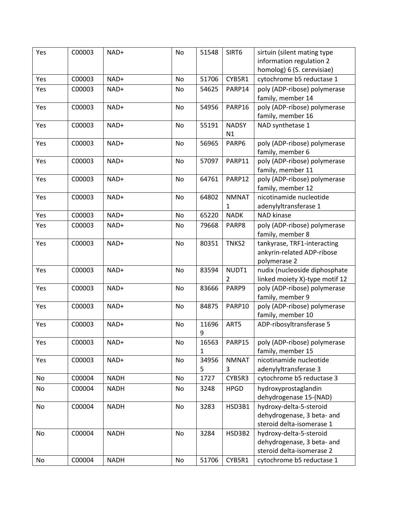| Yes | C00003 | NAD+        | No | 51548 | SIRT6        | sirtuin (silent mating type                       |
|-----|--------|-------------|----|-------|--------------|---------------------------------------------------|
|     |        |             |    |       |              | information regulation 2                          |
|     |        |             |    |       |              | homolog) 6 (S. cerevisiae)                        |
| Yes | C00003 | NAD+        | No | 51706 | CYB5R1       | cytochrome b5 reductase 1                         |
| Yes | C00003 | NAD+        | No | 54625 | PARP14       | poly (ADP-ribose) polymerase                      |
|     |        |             |    |       |              | family, member 14                                 |
| Yes | C00003 | NAD+        | No | 54956 | PARP16       | poly (ADP-ribose) polymerase                      |
|     |        |             |    |       |              | family, member 16                                 |
| Yes | C00003 | NAD+        | No | 55191 | <b>NADSY</b> | NAD synthetase 1                                  |
|     |        |             |    |       | N1           |                                                   |
| Yes | C00003 | NAD+        | No | 56965 | PARP6        | poly (ADP-ribose) polymerase                      |
|     |        |             |    |       |              | family, member 6                                  |
| Yes | C00003 | NAD+        | No | 57097 | PARP11       | poly (ADP-ribose) polymerase                      |
|     |        |             |    |       |              | family, member 11                                 |
| Yes | C00003 | NAD+        | No | 64761 | PARP12       | poly (ADP-ribose) polymerase<br>family, member 12 |
| Yes | C00003 | NAD+        | No | 64802 | <b>NMNAT</b> | nicotinamide nucleotide                           |
|     |        |             |    |       | 1            | adenylyltransferase 1                             |
| Yes | C00003 | NAD+        | No | 65220 | <b>NADK</b>  | NAD kinase                                        |
| Yes | C00003 | NAD+        | No | 79668 | PARP8        | poly (ADP-ribose) polymerase                      |
|     |        |             |    |       |              | family, member 8                                  |
| Yes | C00003 | NAD+        | No | 80351 | TNKS2        | tankyrase, TRF1-interacting                       |
|     |        |             |    |       |              | ankyrin-related ADP-ribose                        |
|     |        |             |    |       |              | polymerase 2                                      |
| Yes | C00003 | NAD+        | No | 83594 | NUDT1        | nudix (nucleoside diphosphate                     |
|     |        |             |    |       | 2            | linked moiety X)-type motif 12                    |
| Yes | C00003 | NAD+        | No | 83666 | PARP9        | poly (ADP-ribose) polymerase                      |
|     |        |             |    |       |              | family, member 9                                  |
| Yes | C00003 | NAD+        | No | 84875 | PARP10       | poly (ADP-ribose) polymerase                      |
|     |        |             |    |       |              | family, member 10                                 |
| Yes | C00003 | NAD+        | No | 11696 | ART5         | ADP-ribosyltransferase 5                          |
|     |        |             |    | 9     |              |                                                   |
| Yes | C00003 | NAD+        | No | 16563 | PARP15       | poly (ADP-ribose) polymerase                      |
|     |        |             |    | 1     |              | family, member 15                                 |
| Yes | C00003 | NAD+        | No | 34956 | <b>NMNAT</b> | nicotinamide nucleotide                           |
|     |        |             |    | 5     | 3            | adenylyltransferase 3                             |
| No  | C00004 | <b>NADH</b> | No | 1727  | CYB5R3       | cytochrome b5 reductase 3                         |
| No  | C00004 | <b>NADH</b> | No | 3248  | <b>HPGD</b>  | hydroxyprostaglandin                              |
|     |        |             |    |       |              | dehydrogenase 15-(NAD)                            |
| No  | C00004 | <b>NADH</b> | No | 3283  | HSD3B1       | hydroxy-delta-5-steroid                           |
|     |        |             |    |       |              | dehydrogenase, 3 beta- and                        |
|     |        |             |    |       |              | steroid delta-isomerase 1                         |
| No  | C00004 | <b>NADH</b> | No | 3284  | HSD3B2       | hydroxy-delta-5-steroid                           |
|     |        |             |    |       |              | dehydrogenase, 3 beta- and                        |
|     |        |             |    |       |              | steroid delta-isomerase 2                         |
| No  | C00004 | <b>NADH</b> | No | 51706 | CYB5R1       | cytochrome b5 reductase 1                         |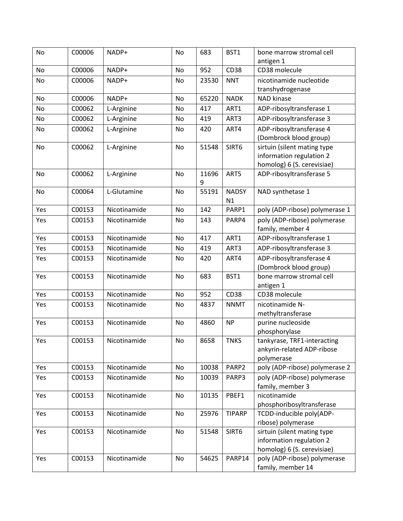| No        | C00006 | NADP+        | No        | 683   | BST1          | bone marrow stromal cell               |
|-----------|--------|--------------|-----------|-------|---------------|----------------------------------------|
|           |        |              |           |       |               | antigen 1                              |
| No        | C00006 | NADP+        | No        | 952   | <b>CD38</b>   | CD38 molecule                          |
| No        | C00006 | NADP+        | No        | 23530 | <b>NNT</b>    | nicotinamide nucleotide                |
|           |        |              |           |       |               | transhydrogenase                       |
| <b>No</b> | C00006 | NADP+        | <b>No</b> | 65220 | <b>NADK</b>   | <b>NAD kinase</b>                      |
| No        | C00062 | L-Arginine   | No        | 417   | ART1          | ADP-ribosyltransferase 1               |
| No        | C00062 | L-Arginine   | No        | 419   | ART3          | ADP-ribosyltransferase 3               |
| No        | C00062 | L-Arginine   | No        | 420   | ART4          | ADP-ribosyltransferase 4               |
|           |        |              |           |       |               | (Dombrock blood group)                 |
| No        | C00062 | L-Arginine   | No        | 51548 | SIRT6         | sirtuin (silent mating type            |
|           |        |              |           |       |               | information regulation 2               |
|           |        |              |           |       |               | homolog) 6 (S. cerevisiae)             |
| No        | C00062 | L-Arginine   | No        | 11696 | ART5          | ADP-ribosyltransferase 5               |
|           |        |              |           | 9     |               |                                        |
| No        | C00064 | L-Glutamine  | No        | 55191 | <b>NADSY</b>  | NAD synthetase 1                       |
|           |        |              |           |       | N1            |                                        |
| Yes       | C00153 | Nicotinamide | <b>No</b> | 142   | PARP1         | poly (ADP-ribose) polymerase 1         |
| Yes       | C00153 | Nicotinamide | No        | 143   | PARP4         | poly (ADP-ribose) polymerase           |
|           |        |              |           |       |               | family, member 4                       |
| Yes       | C00153 | Nicotinamide | No        | 417   | ART1          | ADP-ribosyltransferase 1               |
| Yes       | C00153 | Nicotinamide | No        | 419   | ART3          | ADP-ribosyltransferase 3               |
| Yes       | C00153 | Nicotinamide | No        | 420   | ART4          | ADP-ribosyltransferase 4               |
|           |        |              |           |       |               | (Dombrock blood group)                 |
| Yes       | C00153 | Nicotinamide | No        | 683   | BST1          | bone marrow stromal cell               |
| Yes       | C00153 | Nicotinamide | No        | 952   | <b>CD38</b>   | antigen 1<br>CD38 molecule             |
|           |        |              |           |       |               |                                        |
| Yes       | C00153 | Nicotinamide | No        | 4837  | <b>NNMT</b>   | nicotinamide N-                        |
| Yes       | C00153 | Nicotinamide | No        | 4860  | <b>NP</b>     | methyltransferase<br>purine nucleoside |
|           |        |              |           |       |               | phosphorylase                          |
| Yes       | C00153 | Nicotinamide | No        | 8658  | <b>TNKS</b>   | tankyrase, TRF1-interacting            |
|           |        |              |           |       |               | ankyrin-related ADP-ribose             |
|           |        |              |           |       |               | polymerase                             |
| Yes       | C00153 | Nicotinamide | No        | 10038 | PARP2         | poly (ADP-ribose) polymerase 2         |
| Yes       | C00153 | Nicotinamide | No        | 10039 | PARP3         | poly (ADP-ribose) polymerase           |
|           |        |              |           |       |               | family, member 3                       |
| Yes       | C00153 | Nicotinamide | No        | 10135 | PBEF1         | nicotinamide                           |
|           |        |              |           |       |               | phosphoribosyltransferase              |
| Yes       | C00153 | Nicotinamide | No        | 25976 | <b>TIPARP</b> | TCDD-inducible poly(ADP-               |
|           |        |              |           |       |               | ribose) polymerase                     |
| Yes       | C00153 | Nicotinamide | No        | 51548 | SIRT6         | sirtuin (silent mating type            |
|           |        |              |           |       |               | information regulation 2               |
|           |        |              |           |       |               | homolog) 6 (S. cerevisiae)             |
| Yes       | C00153 | Nicotinamide | No        | 54625 | PARP14        | poly (ADP-ribose) polymerase           |
|           |        |              |           |       |               | family, member 14                      |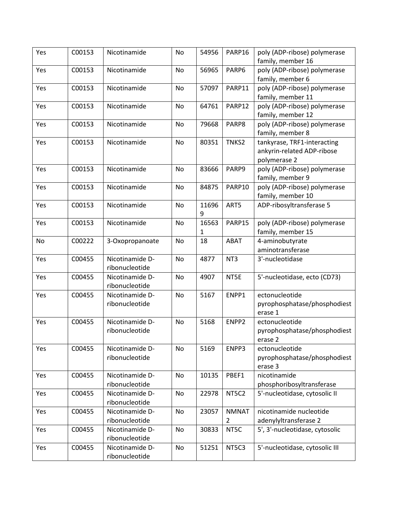| Yes | C00153 | Nicotinamide                      | No        | 54956 | PARP16       | poly (ADP-ribose) polymerase   |
|-----|--------|-----------------------------------|-----------|-------|--------------|--------------------------------|
|     |        |                                   |           |       |              | family, member 16              |
| Yes | C00153 | Nicotinamide                      | No        | 56965 | PARP6        | poly (ADP-ribose) polymerase   |
|     |        |                                   |           |       |              | family, member 6               |
| Yes | C00153 | Nicotinamide                      | No        | 57097 | PARP11       | poly (ADP-ribose) polymerase   |
|     |        |                                   |           |       |              | family, member 11              |
| Yes | C00153 | Nicotinamide                      | <b>No</b> | 64761 | PARP12       | poly (ADP-ribose) polymerase   |
|     |        |                                   |           |       |              | family, member 12              |
| Yes | C00153 | Nicotinamide                      | No        | 79668 | PARP8        | poly (ADP-ribose) polymerase   |
|     |        |                                   |           |       |              | family, member 8               |
| Yes | C00153 | Nicotinamide                      | No        | 80351 | TNKS2        | tankyrase, TRF1-interacting    |
|     |        |                                   |           |       |              | ankyrin-related ADP-ribose     |
|     |        |                                   |           |       |              | polymerase 2                   |
| Yes | C00153 | Nicotinamide                      | No        | 83666 | PARP9        | poly (ADP-ribose) polymerase   |
|     |        |                                   |           |       |              | family, member 9               |
| Yes | C00153 | Nicotinamide                      | No        | 84875 | PARP10       | poly (ADP-ribose) polymerase   |
|     |        |                                   |           |       |              | family, member 10              |
| Yes | C00153 | Nicotinamide                      | No        | 11696 | ART5         | ADP-ribosyltransferase 5       |
|     |        |                                   |           | 9     |              |                                |
| Yes | C00153 | Nicotinamide                      | No        | 16563 | PARP15       | poly (ADP-ribose) polymerase   |
|     |        |                                   |           | 1     |              | family, member 15              |
| No  | C00222 | 3-Oxopropanoate                   | No        | 18    | <b>ABAT</b>  | 4-aminobutyrate                |
|     |        |                                   |           |       |              | aminotransferase               |
| Yes | C00455 | Nicotinamide D-                   | <b>No</b> | 4877  | NT3          | 3'-nucleotidase                |
|     |        | ribonucleotide                    |           |       |              |                                |
| Yes | C00455 | Nicotinamide D-                   | No        | 4907  | NT5E         | 5'-nucleotidase, ecto (CD73)   |
|     |        | ribonucleotide                    |           |       |              |                                |
| Yes | C00455 | Nicotinamide D-                   | No        | 5167  | ENPP1        | ectonucleotide                 |
|     |        | ribonucleotide                    |           |       |              | pyrophosphatase/phosphodiest   |
|     |        |                                   |           |       |              | erase 1                        |
| Yes | C00455 | Nicotinamide D-                   | No        | 5168  | ENPP2        | ectonucleotide                 |
|     |        | ribonucleotide                    |           |       |              | pyrophosphatase/phosphodiest   |
|     |        |                                   |           |       |              | erase 2                        |
| Yes | C00455 | Nicotinamide D-                   | No        | 5169  | ENPP3        | ectonucleotide                 |
|     |        | ribonucleotide                    |           |       |              | pyrophosphatase/phosphodiest   |
|     |        |                                   |           |       |              | erase 3                        |
| Yes | C00455 | Nicotinamide D-                   | <b>No</b> | 10135 | PBEF1        | nicotinamide                   |
|     |        | ribonucleotide                    |           |       |              | phosphoribosyltransferase      |
| Yes | C00455 | Nicotinamide D-                   | No        | 22978 | NT5C2        | 5'-nucleotidase, cytosolic II  |
|     |        | ribonucleotide                    |           |       |              |                                |
| Yes | C00455 | Nicotinamide D-                   | No        | 23057 | <b>NMNAT</b> | nicotinamide nucleotide        |
|     |        | ribonucleotide                    |           |       | 2            | adenylyltransferase 2          |
| Yes | C00455 | Nicotinamide D-                   | No        | 30833 | NT5C         | 5', 3'-nucleotidase, cytosolic |
|     |        | ribonucleotide                    |           |       |              |                                |
|     |        |                                   |           |       |              |                                |
| Yes | C00455 | Nicotinamide D-<br>ribonucleotide | No        | 51251 | NT5C3        | 5'-nucleotidase, cytosolic III |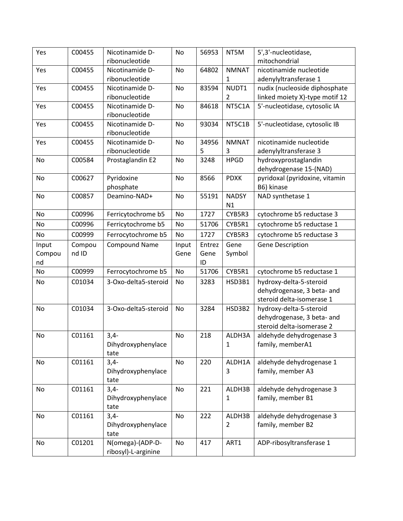| Yes       | C00455 | Nicotinamide D-      | No        | 56953  | NT5M         | 5',3'-nucleotidase,            |
|-----------|--------|----------------------|-----------|--------|--------------|--------------------------------|
|           |        | ribonucleotide       |           |        |              | mitochondrial                  |
| Yes       | C00455 | Nicotinamide D-      | <b>No</b> | 64802  | <b>NMNAT</b> | nicotinamide nucleotide        |
|           |        | ribonucleotide       |           |        | 1            | adenylyltransferase 1          |
| Yes       | C00455 | Nicotinamide D-      | <b>No</b> | 83594  | NUDT1        | nudix (nucleoside diphosphate  |
|           |        | ribonucleotide       |           |        | 2            | linked moiety X)-type motif 12 |
| Yes       | C00455 | Nicotinamide D-      | No        | 84618  | NT5C1A       | 5'-nucleotidase, cytosolic IA  |
|           |        | ribonucleotide       |           |        |              |                                |
| Yes       | C00455 | Nicotinamide D-      | No        | 93034  | NT5C1B       | 5'-nucleotidase, cytosolic IB  |
|           |        | ribonucleotide       |           |        |              |                                |
| Yes       | C00455 | Nicotinamide D-      | <b>No</b> | 34956  | <b>NMNAT</b> | nicotinamide nucleotide        |
|           |        | ribonucleotide       |           | 5      | 3            | adenylyltransferase 3          |
| No        | C00584 | Prostaglandin E2     | No        | 3248   | <b>HPGD</b>  | hydroxyprostaglandin           |
|           |        |                      |           |        |              | dehydrogenase 15-(NAD)         |
| No        | C00627 | Pyridoxine           | No        | 8566   | <b>PDXK</b>  | pyridoxal (pyridoxine, vitamin |
|           |        | phosphate            |           |        |              | B6) kinase                     |
| No        | C00857 | Deamino-NAD+         | No        | 55191  | <b>NADSY</b> | NAD synthetase 1               |
|           |        |                      |           |        | N1           |                                |
| No        | C00996 | Ferricytochrome b5   | No        | 1727   | CYB5R3       | cytochrome b5 reductase 3      |
| <b>No</b> | C00996 | Ferricytochrome b5   | No        | 51706  | CYB5R1       | cytochrome b5 reductase 1      |
| No        | C00999 | Ferrocytochrome b5   | No        | 1727   | CYB5R3       | cytochrome b5 reductase 3      |
| Input     | Compou | <b>Compound Name</b> | Input     | Entrez | Gene         | Gene Description               |
| Compou    | nd ID  |                      | Gene      | Gene   | Symbol       |                                |
| nd        |        |                      |           | ID     |              |                                |
| No        | C00999 | Ferrocytochrome b5   | No        | 51706  | CYB5R1       | cytochrome b5 reductase 1      |
| No        | C01034 | 3-Oxo-delta5-steroid | No        | 3283   | HSD3B1       | hydroxy-delta-5-steroid        |
|           |        |                      |           |        |              | dehydrogenase, 3 beta- and     |
|           |        |                      |           |        |              | steroid delta-isomerase 1      |
| No        | C01034 | 3-Oxo-delta5-steroid | No        | 3284   | HSD3B2       | hydroxy-delta-5-steroid        |
|           |        |                      |           |        |              | dehydrogenase, 3 beta- and     |
|           |        |                      |           |        |              | steroid delta-isomerase 2      |
| No        | C01161 | $3,4-$               | No        | 218    | ALDH3A       | aldehyde dehydrogenase 3       |
|           |        | Dihydroxyphenylace   |           |        | 1            | family, memberA1               |
|           |        | tate                 |           |        |              |                                |
| No        | C01161 | $3,4-$               | No        | 220    | ALDH1A       | aldehyde dehydrogenase 1       |
|           |        | Dihydroxyphenylace   |           |        | 3            | family, member A3              |
|           |        | tate                 |           |        |              |                                |
| No        | C01161 | $3,4-$               | No        | 221    | ALDH3B       | aldehyde dehydrogenase 3       |
|           |        | Dihydroxyphenylace   |           |        | $\mathbf{1}$ | family, member B1              |
|           |        | tate                 |           |        |              |                                |
| No        | C01161 | $3,4-$               | No        | 222    | ALDH3B       | aldehyde dehydrogenase 3       |
|           |        | Dihydroxyphenylace   |           |        | 2            | family, member B2              |
|           |        | tate                 |           |        |              |                                |
| No        | C01201 | N(omega)-(ADP-D-     | No        | 417    | ART1         | ADP-ribosyltransferase 1       |
|           |        | ribosyl)-L-arginine  |           |        |              |                                |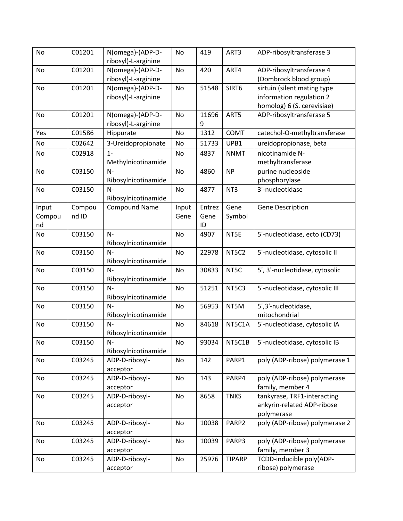| No     | C01201 | N(omega)-(ADP-D-     | No    | 419    | ART3          | ADP-ribosyltransferase 3       |
|--------|--------|----------------------|-------|--------|---------------|--------------------------------|
|        |        | ribosyl)-L-arginine  |       |        |               |                                |
| No     | C01201 | N(omega)-(ADP-D-     | No    | 420    | ART4          | ADP-ribosyltransferase 4       |
|        |        | ribosyl)-L-arginine  |       |        |               | (Dombrock blood group)         |
| No     | C01201 | N(omega)-(ADP-D-     | No    | 51548  | SIRT6         | sirtuin (silent mating type    |
|        |        | ribosyl)-L-arginine  |       |        |               | information regulation 2       |
|        |        |                      |       |        |               | homolog) 6 (S. cerevisiae)     |
| No     | C01201 | N(omega)-(ADP-D-     | No    | 11696  | ART5          | ADP-ribosyltransferase 5       |
|        |        | ribosyl)-L-arginine  |       | 9      |               |                                |
| Yes    | C01586 | Hippurate            | No    | 1312   | <b>COMT</b>   | catechol-O-methyltransferase   |
| No     | C02642 | 3-Ureidopropionate   | No    | 51733  | UPB1          | ureidopropionase, beta         |
| No     | C02918 | $1 -$                | No    | 4837   | <b>NNMT</b>   | nicotinamide N-                |
|        |        | Methylnicotinamide   |       |        |               | methyltransferase              |
| No     | C03150 | $N-$                 | No    | 4860   | <b>NP</b>     | purine nucleoside              |
|        |        | Ribosylnicotinamide  |       |        |               | phosphorylase                  |
| No     | C03150 | $N-$                 | No    | 4877   | NT3           | 3'-nucleotidase                |
|        |        | Ribosylnicotinamide  |       |        |               |                                |
|        | Compou | <b>Compound Name</b> |       | Entrez | Gene          | Gene Description               |
| Input  |        |                      | Input |        |               |                                |
| Compou | nd ID  |                      | Gene  | Gene   | Symbol        |                                |
| nd     |        |                      |       | ID     |               |                                |
| No     | C03150 | $N-$                 | No    | 4907   | NT5E          | 5'-nucleotidase, ecto (CD73)   |
|        |        | Ribosylnicotinamide  |       |        |               |                                |
| No     | C03150 | $N-$                 | No    | 22978  | NT5C2         | 5'-nucleotidase, cytosolic II  |
|        |        | Ribosylnicotinamide  |       |        |               |                                |
| No     | C03150 | $N-$                 | No    | 30833  | NT5C          | 5', 3'-nucleotidase, cytosolic |
|        |        | Ribosylnicotinamide  |       |        |               |                                |
| No     | C03150 | $N-$                 | No    | 51251  | NT5C3         | 5'-nucleotidase, cytosolic III |
|        |        | Ribosylnicotinamide  |       |        |               |                                |
| No     | C03150 | N-                   | No    | 56953  | NT5M          | 5',3'-nucleotidase,            |
|        |        | Ribosylnicotinamide  |       |        |               | mitochondrial                  |
| No     | C03150 | $N-$                 | No    | 84618  | NT5C1A        | 5'-nucleotidase, cytosolic IA  |
|        |        | Ribosylnicotinamide  |       |        |               |                                |
| No     | C03150 | N-                   | No    | 93034  | NT5C1B        | 5'-nucleotidase, cytosolic IB  |
|        |        | Ribosylnicotinamide  |       |        |               |                                |
| No     | C03245 | ADP-D-ribosyl-       | No    | 142    | PARP1         | poly (ADP-ribose) polymerase 1 |
|        |        | acceptor             |       |        |               |                                |
| No     | C03245 | ADP-D-ribosyl-       | No    | 143    | PARP4         | poly (ADP-ribose) polymerase   |
|        |        | acceptor             |       |        |               | family, member 4               |
| No     | C03245 | ADP-D-ribosyl-       | No    | 8658   | <b>TNKS</b>   | tankyrase, TRF1-interacting    |
|        |        | acceptor             |       |        |               | ankyrin-related ADP-ribose     |
|        |        |                      |       |        |               | polymerase                     |
| No     | C03245 | ADP-D-ribosyl-       | No    | 10038  | PARP2         | poly (ADP-ribose) polymerase 2 |
|        |        | acceptor             |       |        |               |                                |
| No     | C03245 | ADP-D-ribosyl-       | No    | 10039  | PARP3         | poly (ADP-ribose) polymerase   |
|        |        |                      |       |        |               | family, member 3               |
|        |        | acceptor             |       |        |               |                                |
| No     | C03245 | ADP-D-ribosyl-       | No    | 25976  | <b>TIPARP</b> | TCDD-inducible poly(ADP-       |
|        |        | acceptor             |       |        |               | ribose) polymerase             |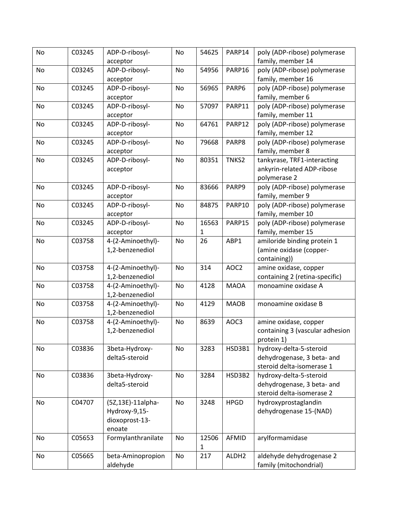| No | C03245 | ADP-D-ribosyl-                  | No | 54625 | PARP14            | poly (ADP-ribose) polymerase                   |
|----|--------|---------------------------------|----|-------|-------------------|------------------------------------------------|
|    |        | acceptor                        |    |       |                   | family, member 14                              |
| No | C03245 | ADP-D-ribosyl-                  | No | 54956 | PARP16            | poly (ADP-ribose) polymerase                   |
|    |        | acceptor                        |    |       |                   | family, member 16                              |
| No | C03245 | ADP-D-ribosyl-                  | No | 56965 | PARP6             | poly (ADP-ribose) polymerase                   |
|    |        | acceptor                        |    |       |                   | family, member 6                               |
| No | C03245 | ADP-D-ribosyl-                  | No | 57097 | PARP11            | poly (ADP-ribose) polymerase                   |
|    |        | acceptor                        |    |       |                   | family, member 11                              |
| No | C03245 | ADP-D-ribosyl-                  | No | 64761 | PARP12            | poly (ADP-ribose) polymerase                   |
|    |        | acceptor                        |    |       |                   | family, member 12                              |
| No | C03245 | ADP-D-ribosyl-                  | No | 79668 | PARP8             | poly (ADP-ribose) polymerase                   |
|    |        | acceptor                        |    |       |                   | family, member 8                               |
| No | C03245 | ADP-D-ribosyl-                  | No | 80351 | TNKS2             | tankyrase, TRF1-interacting                    |
|    |        | acceptor                        |    |       |                   | ankyrin-related ADP-ribose                     |
|    |        |                                 |    |       |                   | polymerase 2                                   |
| No | C03245 | ADP-D-ribosyl-                  | No | 83666 | PARP9             | poly (ADP-ribose) polymerase                   |
|    |        | acceptor                        |    |       |                   | family, member 9                               |
| No | C03245 | ADP-D-ribosyl-                  | No | 84875 | PARP10            | poly (ADP-ribose) polymerase                   |
|    |        | acceptor                        |    |       |                   | family, member 10                              |
| No | C03245 | ADP-D-ribosyl-                  | No | 16563 | PARP15            | poly (ADP-ribose) polymerase                   |
|    |        | acceptor                        |    | 1     |                   | family, member 15                              |
| No | C03758 | 4-(2-Aminoethyl)-               | No | 26    | ABP1              | amiloride binding protein 1                    |
|    |        | 1,2-benzenediol                 |    |       |                   | (amine oxidase (copper-                        |
|    |        |                                 |    |       |                   | containing))                                   |
| No | C03758 | 4-(2-Aminoethyl)-               | No | 314   | AOC2              | amine oxidase, copper                          |
|    |        | 1,2-benzenediol                 |    |       |                   | containing 2 (retina-specific)                 |
| No | C03758 | 4-(2-Aminoethyl)-               | No | 4128  | <b>MAOA</b>       | monoamine oxidase A                            |
|    |        | 1,2-benzenediol                 |    |       |                   |                                                |
| No | C03758 | 4-(2-Aminoethyl)-               | No | 4129  | <b>MAOB</b>       | monoamine oxidase B                            |
|    |        | 1,2-benzenediol                 |    |       |                   |                                                |
| No | C03758 | 4-(2-Aminoethyl)-               | No | 8639  | AOC3              | amine oxidase, copper                          |
|    |        | 1,2-benzenediol                 |    |       |                   | containing 3 (vascular adhesion                |
|    |        |                                 |    |       |                   | protein 1)                                     |
| No | C03836 | 3beta-Hydroxy-                  | No | 3283  | HSD3B1            | hydroxy-delta-5-steroid                        |
|    |        | delta5-steroid                  |    |       |                   | dehydrogenase, 3 beta- and                     |
|    |        |                                 |    |       |                   | steroid delta-isomerase 1                      |
| No | C03836 | 3beta-Hydroxy-                  | No | 3284  | HSD3B2            | hydroxy-delta-5-steroid                        |
|    |        | delta5-steroid                  |    |       |                   | dehydrogenase, 3 beta- and                     |
|    |        |                                 |    |       |                   | steroid delta-isomerase 2                      |
| No | C04707 | (5Z,13E)-11alpha-               | No | 3248  | <b>HPGD</b>       | hydroxyprostaglandin<br>dehydrogenase 15-(NAD) |
|    |        | Hydroxy-9,15-<br>dioxoprost-13- |    |       |                   |                                                |
|    |        | enoate                          |    |       |                   |                                                |
| No | C05653 | Formylanthranilate              | No | 12506 | AFMID             | arylformamidase                                |
|    |        |                                 |    | 1     |                   |                                                |
| No | C05665 | beta-Aminopropion               | No | 217   | ALDH <sub>2</sub> | aldehyde dehydrogenase 2                       |
|    |        | aldehyde                        |    |       |                   | family (mitochondrial)                         |
|    |        |                                 |    |       |                   |                                                |